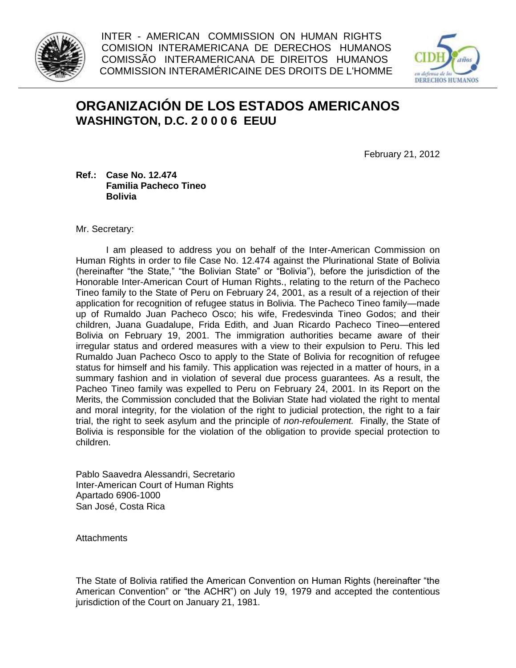

INTER - AMERICAN COMMISSION ON HUMAN RIGHTS COMISION INTERAMERICANA DE DERECHOS HUMANOS COMISSÃO INTERAMERICANA DE DIREITOS HUMANOS COMMISSION INTERAMÉRICAINE DES DROITS DE L'HOMME



## **ORGANIZACIÓN DE LOS ESTADOS AMERICANOS WASHINGTON, D.C. 2 0 0 0 6 EEUU**

February 21, 2012

## **Ref.: Case No. 12.474 Familia Pacheco Tineo Bolivia**

Mr. Secretary:

I am pleased to address you on behalf of the Inter-American Commission on Human Rights in order to file Case No. 12.474 against the Plurinational State of Bolivia (hereinafter "the State," "the Bolivian State" or "Bolivia"), before the jurisdiction of the Honorable Inter-American Court of Human Rights., relating to the return of the Pacheco Tineo family to the State of Peru on February 24, 2001, as a result of a rejection of their application for recognition of refugee status in Bolivia. The Pacheco Tineo family—made up of Rumaldo Juan Pacheco Osco; his wife, Fredesvinda Tineo Godos; and their children, Juana Guadalupe, Frida Edith, and Juan Ricardo Pacheco Tineo—entered Bolivia on February 19, 2001. The immigration authorities became aware of their irregular status and ordered measures with a view to their expulsion to Peru. This led Rumaldo Juan Pacheco Osco to apply to the State of Bolivia for recognition of refugee status for himself and his family. This application was rejected in a matter of hours, in a summary fashion and in violation of several due process guarantees. As a result, the Pacheo Tineo family was expelled to Peru on February 24, 2001. In its Report on the Merits, the Commission concluded that the Bolivian State had violated the right to mental and moral integrity, for the violation of the right to judicial protection, the right to a fair trial, the right to seek asylum and the principle of *non-refoulement.* Finally, the State of Bolivia is responsible for the violation of the obligation to provide special protection to children.

Pablo Saavedra Alessandri, Secretario Inter-American Court of Human Rights Apartado 6906-1000 San José, Costa Rica

**Attachments** 

The State of Bolivia ratified the American Convention on Human Rights (hereinafter "the American Convention" or "the ACHR") on July 19, 1979 and accepted the contentious jurisdiction of the Court on January 21, 1981.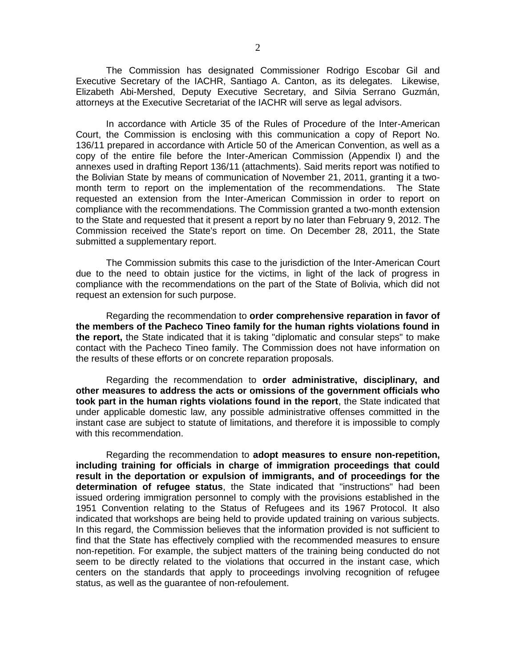The Commission has designated Commissioner Rodrigo Escobar Gil and Executive Secretary of the IACHR, Santiago A. Canton, as its delegates. Likewise, Elizabeth Abi-Mershed, Deputy Executive Secretary, and Silvia Serrano Guzmán, attorneys at the Executive Secretariat of the IACHR will serve as legal advisors.

In accordance with Article 35 of the Rules of Procedure of the Inter-American Court, the Commission is enclosing with this communication a copy of Report No. 136/11 prepared in accordance with Article 50 of the American Convention, as well as a copy of the entire file before the Inter-American Commission (Appendix I) and the annexes used in drafting Report 136/11 (attachments). Said merits report was notified to the Bolivian State by means of communication of November 21, 2011, granting it a twomonth term to report on the implementation of the recommendations. The State requested an extension from the Inter-American Commission in order to report on compliance with the recommendations. The Commission granted a two-month extension to the State and requested that it present a report by no later than February 9, 2012. The Commission received the State's report on time. On December 28, 2011, the State submitted a supplementary report.

The Commission submits this case to the jurisdiction of the Inter-American Court due to the need to obtain justice for the victims, in light of the lack of progress in compliance with the recommendations on the part of the State of Bolivia, which did not request an extension for such purpose.

Regarding the recommendation to **order comprehensive reparation in favor of the members of the Pacheco Tineo family for the human rights violations found in the report,** the State indicated that it is taking "diplomatic and consular steps" to make contact with the Pacheco Tineo family. The Commission does not have information on the results of these efforts or on concrete reparation proposals.

Regarding the recommendation to **order administrative, disciplinary, and other measures to address the acts or omissions of the government officials who took part in the human rights violations found in the report**, the State indicated that under applicable domestic law, any possible administrative offenses committed in the instant case are subject to statute of limitations, and therefore it is impossible to comply with this recommendation.

Regarding the recommendation to **adopt measures to ensure non-repetition, including training for officials in charge of immigration proceedings that could result in the deportation or expulsion of immigrants, and of proceedings for the determination of refugee status**, the State indicated that "instructions" had been issued ordering immigration personnel to comply with the provisions established in the 1951 Convention relating to the Status of Refugees and its 1967 Protocol. It also indicated that workshops are being held to provide updated training on various subjects. In this regard, the Commission believes that the information provided is not sufficient to find that the State has effectively complied with the recommended measures to ensure non-repetition. For example, the subject matters of the training being conducted do not seem to be directly related to the violations that occurred in the instant case, which centers on the standards that apply to proceedings involving recognition of refugee status, as well as the guarantee of non-refoulement.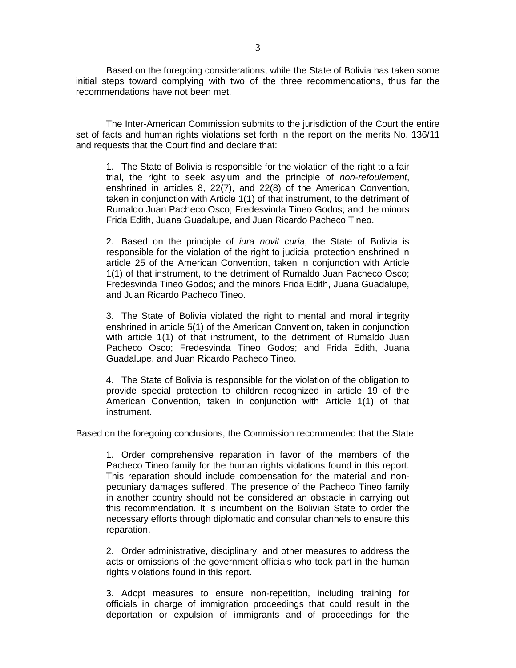Based on the foregoing considerations, while the State of Bolivia has taken some initial steps toward complying with two of the three recommendations, thus far the recommendations have not been met.

The Inter-American Commission submits to the jurisdiction of the Court the entire set of facts and human rights violations set forth in the report on the merits No. 136/11 and requests that the Court find and declare that:

1. The State of Bolivia is responsible for the violation of the right to a fair trial, the right to seek asylum and the principle of *non-refoulement*, enshrined in articles 8, 22(7), and 22(8) of the American Convention, taken in conjunction with Article 1(1) of that instrument, to the detriment of Rumaldo Juan Pacheco Osco; Fredesvinda Tineo Godos; and the minors Frida Edith, Juana Guadalupe, and Juan Ricardo Pacheco Tineo.

2. Based on the principle of *iura novit curia*, the State of Bolivia is responsible for the violation of the right to judicial protection enshrined in article 25 of the American Convention, taken in conjunction with Article 1(1) of that instrument, to the detriment of Rumaldo Juan Pacheco Osco; Fredesvinda Tineo Godos; and the minors Frida Edith, Juana Guadalupe, and Juan Ricardo Pacheco Tineo.

3. The State of Bolivia violated the right to mental and moral integrity enshrined in article 5(1) of the American Convention, taken in conjunction with article 1(1) of that instrument, to the detriment of Rumaldo Juan Pacheco Osco; Fredesvinda Tineo Godos; and Frida Edith, Juana Guadalupe, and Juan Ricardo Pacheco Tineo.

4. The State of Bolivia is responsible for the violation of the obligation to provide special protection to children recognized in article 19 of the American Convention, taken in conjunction with Article 1(1) of that instrument.

Based on the foregoing conclusions, the Commission recommended that the State:

1. Order comprehensive reparation in favor of the members of the Pacheco Tineo family for the human rights violations found in this report. This reparation should include compensation for the material and nonpecuniary damages suffered. The presence of the Pacheco Tineo family in another country should not be considered an obstacle in carrying out this recommendation. It is incumbent on the Bolivian State to order the necessary efforts through diplomatic and consular channels to ensure this reparation.

2. Order administrative, disciplinary, and other measures to address the acts or omissions of the government officials who took part in the human rights violations found in this report.

3. Adopt measures to ensure non-repetition, including training for officials in charge of immigration proceedings that could result in the deportation or expulsion of immigrants and of proceedings for the